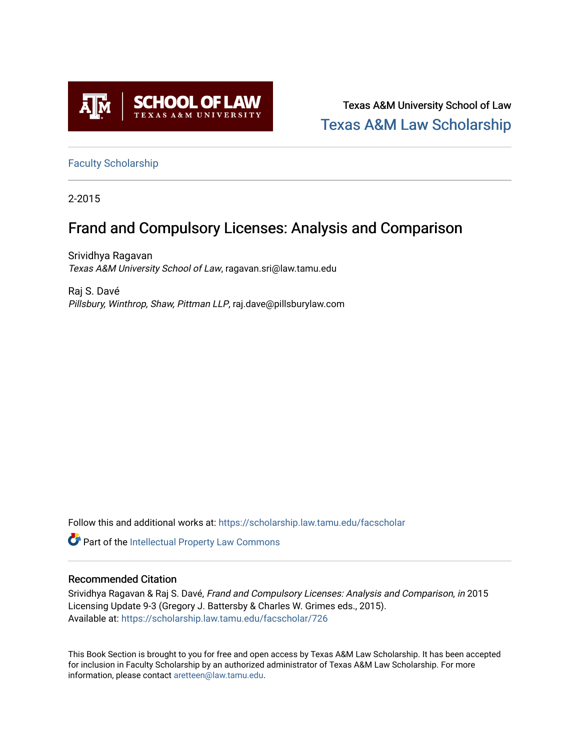

Texas A&M University School of Law [Texas A&M Law Scholarship](https://scholarship.law.tamu.edu/) 

[Faculty Scholarship](https://scholarship.law.tamu.edu/facscholar)

2-2015

# Frand and Compulsory Licenses: Analysis and Comparison

Srividhya Ragavan Texas A&M University School of Law, ragavan.sri@law.tamu.edu

Raj S. Davé Pillsbury, Winthrop, Shaw, Pittman LLP, raj.dave@pillsburylaw.com

Follow this and additional works at: [https://scholarship.law.tamu.edu/facscholar](https://scholarship.law.tamu.edu/facscholar?utm_source=scholarship.law.tamu.edu%2Ffacscholar%2F726&utm_medium=PDF&utm_campaign=PDFCoverPages) 

Part of the [Intellectual Property Law Commons](http://network.bepress.com/hgg/discipline/896?utm_source=scholarship.law.tamu.edu%2Ffacscholar%2F726&utm_medium=PDF&utm_campaign=PDFCoverPages) 

# Recommended Citation

Srividhya Ragavan & Raj S. Davé, Frand and Compulsory Licenses: Analysis and Comparison, in 2015 Licensing Update 9-3 (Gregory J. Battersby & Charles W. Grimes eds., 2015). Available at: [https://scholarship.law.tamu.edu/facscholar/726](https://scholarship.law.tamu.edu/facscholar/726?utm_source=scholarship.law.tamu.edu%2Ffacscholar%2F726&utm_medium=PDF&utm_campaign=PDFCoverPages)

This Book Section is brought to you for free and open access by Texas A&M Law Scholarship. It has been accepted for inclusion in Faculty Scholarship by an authorized administrator of Texas A&M Law Scholarship. For more information, please contact [aretteen@law.tamu.edu](mailto:aretteen@law.tamu.edu).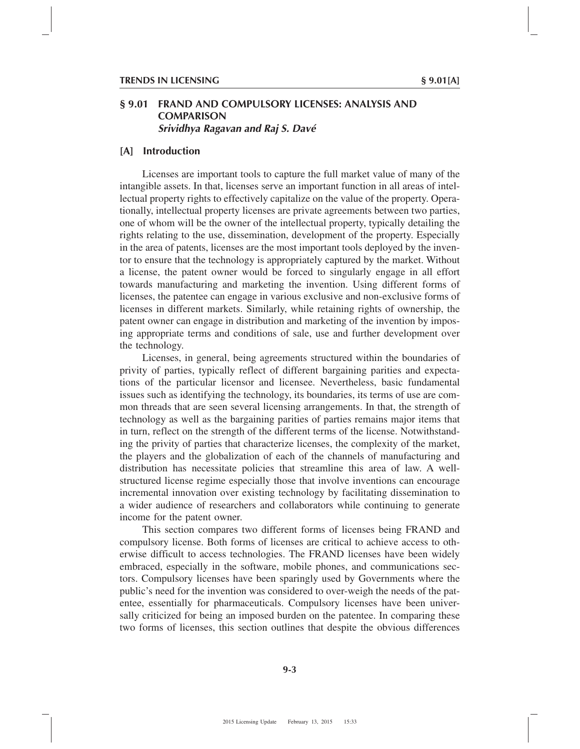# **§ 9.01 FRAND AND COMPULSORY LICENSES: ANALYSIS AND COMPARISON** *Srividhya Ragavan and Raj S. Davé*

# **[A] Introduction**

Licenses are important tools to capture the full market value of many of the intangible assets. In that, licenses serve an important function in all areas of intellectual property rights to effectively capitalize on the value of the property. Operationally, intellectual property licenses are private agreements between two parties, one of whom will be the owner of the intellectual property, typically detailing the rights relating to the use, dissemination, development of the property. Especially in the area of patents, licenses are the most important tools deployed by the inventor to ensure that the technology is appropriately captured by the market. Without a license, the patent owner would be forced to singularly engage in all effort towards manufacturing and marketing the invention. Using different forms of licenses, the patentee can engage in various exclusive and non-exclusive forms of licenses in different markets. Similarly, while retaining rights of ownership, the patent owner can engage in distribution and marketing of the invention by imposing appropriate terms and conditions of sale, use and further development over the technology.

Licenses, in general, being agreements structured within the boundaries of privity of parties, typically reflect of different bargaining parities and expectations of the particular licensor and licensee. Nevertheless, basic fundamental issues such as identifying the technology, its boundaries, its terms of use are common threads that are seen several licensing arrangements. In that, the strength of technology as well as the bargaining parities of parties remains major items that in turn, reflect on the strength of the different terms of the license. Notwithstanding the privity of parties that characterize licenses, the complexity of the market, the players and the globalization of each of the channels of manufacturing and distribution has necessitate policies that streamline this area of law. A wellstructured license regime especially those that involve inventions can encourage incremental innovation over existing technology by facilitating dissemination to a wider audience of researchers and collaborators while continuing to generate income for the patent owner.

This section compares two different forms of licenses being FRAND and compulsory license. Both forms of licenses are critical to achieve access to otherwise difficult to access technologies. The FRAND licenses have been widely embraced, especially in the software, mobile phones, and communications sectors. Compulsory licenses have been sparingly used by Governments where the public's need for the invention was considered to over-weigh the needs of the patentee, essentially for pharmaceuticals. Compulsory licenses have been universally criticized for being an imposed burden on the patentee. In comparing these two forms of licenses, this section outlines that despite the obvious differences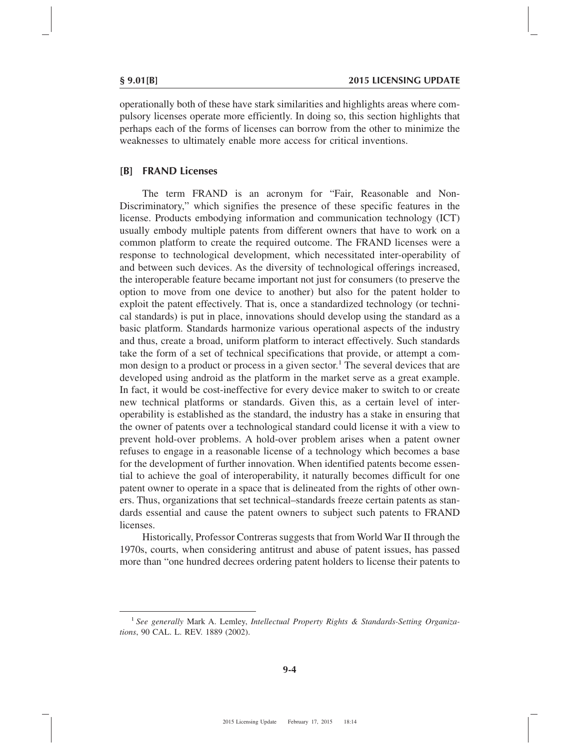operationally both of these have stark similarities and highlights areas where compulsory licenses operate more efficiently. In doing so, this section highlights that perhaps each of the forms of licenses can borrow from the other to minimize the weaknesses to ultimately enable more access for critical inventions.

### **[B] FRAND Licenses**

The term FRAND is an acronym for "Fair, Reasonable and Non-Discriminatory," which signifies the presence of these specific features in the license. Products embodying information and communication technology (ICT) usually embody multiple patents from different owners that have to work on a common platform to create the required outcome. The FRAND licenses were a response to technological development, which necessitated inter-operability of and between such devices. As the diversity of technological offerings increased, the interoperable feature became important not just for consumers (to preserve the option to move from one device to another) but also for the patent holder to exploit the patent effectively. That is, once a standardized technology (or technical standards) is put in place, innovations should develop using the standard as a basic platform. Standards harmonize various operational aspects of the industry and thus, create a broad, uniform platform to interact effectively. Such standards take the form of a set of technical specifications that provide, or attempt a common design to a product or process in a given sector.<sup>1</sup> The several devices that are developed using android as the platform in the market serve as a great example. In fact, it would be cost-ineffective for every device maker to switch to or create new technical platforms or standards. Given this, as a certain level of interoperability is established as the standard, the industry has a stake in ensuring that the owner of patents over a technological standard could license it with a view to prevent hold-over problems. A hold-over problem arises when a patent owner refuses to engage in a reasonable license of a technology which becomes a base for the development of further innovation. When identified patents become essential to achieve the goal of interoperability, it naturally becomes difficult for one patent owner to operate in a space that is delineated from the rights of other owners. Thus, organizations that set technical–standards freeze certain patents as standards essential and cause the patent owners to subject such patents to FRAND licenses.

Historically, Professor Contreras suggests that from World War II through the 1970s, courts, when considering antitrust and abuse of patent issues, has passed more than "one hundred decrees ordering patent holders to license their patents to

<sup>1</sup> *See generally* Mark A. Lemley, *Intellectual Property Rights & Standards-Setting Organizations*, 90 CAL. L. REV. 1889 (2002).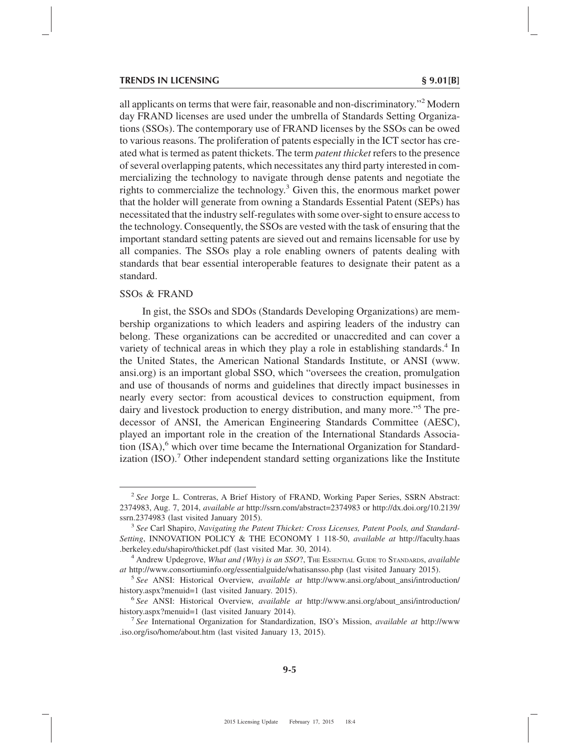all applicants on terms that were fair, reasonable and non-discriminatory."2 Modern day FRAND licenses are used under the umbrella of Standards Setting Organizations (SSOs). The contemporary use of FRAND licenses by the SSOs can be owed to various reasons. The proliferation of patents especially in the ICT sector has created what is termed as patent thickets. The term *patent thicket* refers to the presence of several overlapping patents, which necessitates any third party interested in commercializing the technology to navigate through dense patents and negotiate the rights to commercialize the technology. $3$  Given this, the enormous market power that the holder will generate from owning a Standards Essential Patent (SEPs) has necessitated that the industry self-regulates with some over-sight to ensure access to the technology. Consequently, the SSOs are vested with the task of ensuring that the important standard setting patents are sieved out and remains licensable for use by all companies. The SSOs play a role enabling owners of patents dealing with standards that bear essential interoperable features to designate their patent as a standard.

### SSOs & FRAND

In gist, the SSOs and SDOs (Standards Developing Organizations) are membership organizations to which leaders and aspiring leaders of the industry can belong. These organizations can be accredited or unaccredited and can cover a variety of technical areas in which they play a role in establishing standards.<sup>4</sup> In the United States, the American National Standards Institute, or ANSI (www. ansi.org) is an important global SSO, which "oversees the creation, promulgation and use of thousands of norms and guidelines that directly impact businesses in nearly every sector: from acoustical devices to construction equipment, from dairy and livestock production to energy distribution, and many more."5 The predecessor of ANSI, the American Engineering Standards Committee (AESC), played an important role in the creation of the International Standards Association  $(ISA)$ , which over time became the International Organization for Standardization (ISO).<sup>7</sup> Other independent standard setting organizations like the Institute

<sup>2</sup> *See* Jorge L. Contreras, A Brief History of FRAND, Working Paper Series, SSRN Abstract: 2374983, Aug. 7, 2014, *available at* http://ssrn.com/abstract=2374983 or http://dx.doi.org/10.2139/ ssrn.2374983 (last visited January 2015). <sup>3</sup> *See* Carl Shapiro, *Navigating the Patent Thicket: Cross Licenses, Patent Pools, and Standard-*

*Setting*, INNOVATION POLICY & THE ECONOMY 1 118-50, *available at* http://faculty.haas .berkeley.edu/shapiro/thicket.pdf (last visited Mar. 30, 2014). <sup>4</sup> Andrew Updegrove, *What and (Why) is an SSO*?, THE ESSENTIAL GUIDE TO STANDARDS, *available*

*at* http://www.consortiuminfo.org/essentialguide/whatisansso.php (last visited January 2015).

<sup>5</sup> *See* ANSI: Historical Overview, *available at* http://www.ansi.org/about\_ansi/introduction/ history.aspx?menuid=1 (last visited January. 2015). <sup>6</sup> *See* ANSI: Historical Overview, *available at* http://www.ansi.org/about\_ansi/introduction/

history.aspx?menuid=1 (last visited January 2014). <sup>7</sup> *See* International Organization for Standardization, ISO's Mission, *available at* http://www

<sup>.</sup>iso.org/iso/home/about.htm (last visited January 13, 2015).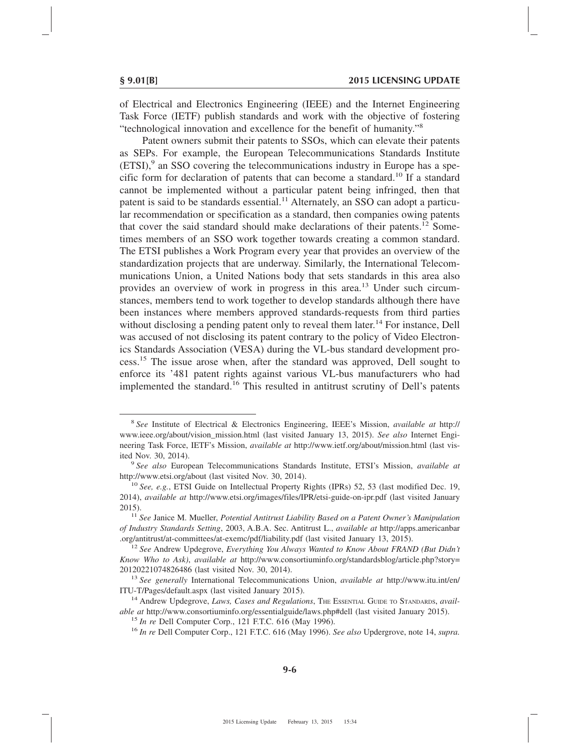of Electrical and Electronics Engineering (IEEE) and the Internet Engineering Task Force (IETF) publish standards and work with the objective of fostering "technological innovation and excellence for the benefit of humanity."8

Patent owners submit their patents to SSOs, which can elevate their patents as SEPs. For example, the European Telecommunications Standards Institute  $(ETSI)$ , an SSO covering the telecommunications industry in Europe has a specific form for declaration of patents that can become a standard.<sup>10</sup> If a standard cannot be implemented without a particular patent being infringed, then that patent is said to be standards essential.<sup>11</sup> Alternately, an SSO can adopt a particular recommendation or specification as a standard, then companies owing patents that cover the said standard should make declarations of their patents.<sup>12</sup> Sometimes members of an SSO work together towards creating a common standard. The ETSI publishes a Work Program every year that provides an overview of the standardization projects that are underway. Similarly, the International Telecommunications Union, a United Nations body that sets standards in this area also provides an overview of work in progress in this area.<sup>13</sup> Under such circumstances, members tend to work together to develop standards although there have been instances where members approved standards-requests from third parties without disclosing a pending patent only to reveal them later.<sup>14</sup> For instance, Dell was accused of not disclosing its patent contrary to the policy of Video Electronics Standards Association (VESA) during the VL-bus standard development process.15 The issue arose when, after the standard was approved, Dell sought to enforce its '481 patent rights against various VL-bus manufacturers who had implemented the standard.<sup>16</sup> This resulted in antitrust scrutiny of Dell's patents

<sup>8</sup> *See* Institute of Electrical & Electronics Engineering, IEEE's Mission, *available at* http:// www.ieee.org/about/vision\_mission.html (last visited January 13, 2015). *See also* Internet Engineering Task Force, IETF's Mission, *available at* http://www.ietf.org/about/mission.html (last vis-

ited Nov. 30, 2014). <sup>9</sup> *See also* European Telecommunications Standards Institute, ETSI's Mission, *available at* http://www.etsi.org/about (last visited Nov. 30, 2014). <sup>10</sup> *See, e.g.*, ETSI Guide on Intellectual Property Rights (IPRs) 52, 53 (last modified Dec. 19,

<sup>2014),</sup> *available at* http://www.etsi.org/images/files/IPR/etsi-guide-on-ipr.pdf (last visited January 2015). <sup>11</sup> *See* Janice M. Mueller, *Potential Antitrust Liability Based on a Patent Owner's Manipulation*

*of Industry Standards Setting*, 2003, A.B.A. Sec. Antitrust L., *available at* http://apps.americanbar .org/antitrust/at-committees/at-exemc/pdf/liability.pdf (last visited January 13, 2015). <sup>12</sup> *See* Andrew Updegrove, *Everything You Always Wanted to Know About FRAND (But Didn't*

*Know Who to Ask)*, *available at* http://www.consortiuminfo.org/standardsblog/article.php?story= 20120221074826486 (last visited Nov. 30, 2014). <sup>13</sup> *See generally* International Telecommunications Union, *available at* http://www.itu.int/en/

ITU-T/Pages/default.aspx (last visited January 2015). <sup>14</sup> Andrew Updegrove, *Laws, Cases and Regulations*, THE ESSENTIAL GUIDE TO STANDARDS, *avail-*

able at http://www.consortiuminfo.org/essentialguide/laws.php#dell (last visited January 2015).<br><sup>15</sup> In re Dell Computer Corp., 121 F.T.C. 616 (May 1996).<br><sup>16</sup> In re Dell Computer Corp., 121 F.T.C. 616 (May 1996). *See als*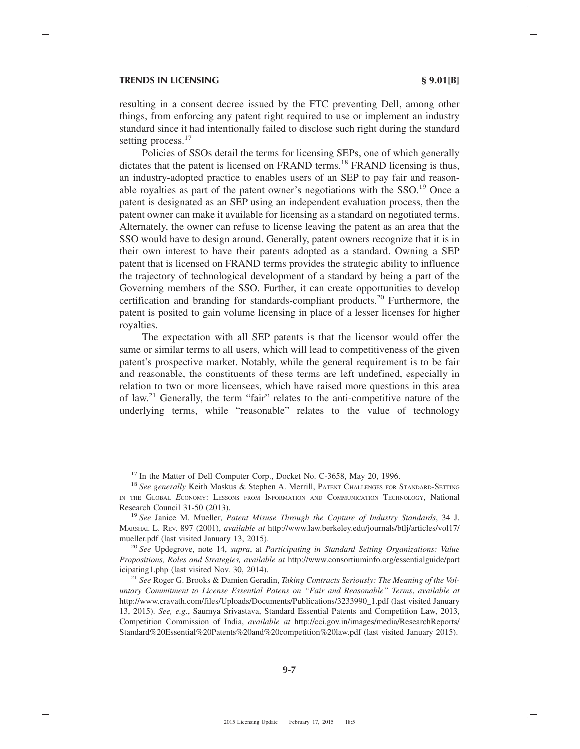resulting in a consent decree issued by the FTC preventing Dell, among other things, from enforcing any patent right required to use or implement an industry standard since it had intentionally failed to disclose such right during the standard setting process.<sup>17</sup>

Policies of SSOs detail the terms for licensing SEPs, one of which generally dictates that the patent is licensed on FRAND terms.<sup>18</sup> FRAND licensing is thus, an industry-adopted practice to enables users of an SEP to pay fair and reasonable royalties as part of the patent owner's negotiations with the SSO.<sup>19</sup> Once a patent is designated as an SEP using an independent evaluation process, then the patent owner can make it available for licensing as a standard on negotiated terms. Alternately, the owner can refuse to license leaving the patent as an area that the SSO would have to design around. Generally, patent owners recognize that it is in their own interest to have their patents adopted as a standard. Owning a SEP patent that is licensed on FRAND terms provides the strategic ability to influence the trajectory of technological development of a standard by being a part of the Governing members of the SSO. Further, it can create opportunities to develop certification and branding for standards-compliant products.20 Furthermore, the patent is posited to gain volume licensing in place of a lesser licenses for higher royalties.

The expectation with all SEP patents is that the licensor would offer the same or similar terms to all users, which will lead to competitiveness of the given patent's prospective market. Notably, while the general requirement is to be fair and reasonable, the constituents of these terms are left undefined, especially in relation to two or more licensees, which have raised more questions in this area of law.21 Generally, the term "fair" relates to the anti-competitive nature of the underlying terms, while "reasonable" relates to the value of technology

<sup>&</sup>lt;sup>17</sup> In the Matter of Dell Computer Corp., Docket No. C-3658, May 20, 1996.<br><sup>18</sup> *See generally* Keith Maskus & Stephen A. Merrill, PATENT CHALLENGES FOR STANDARD-SETTING IN THE GLOBAL *E*CONOMY: LESSONS FROM INFORMATION AND COMMUNICATION TECHNOLOGY, National Research Council 31-50 (2013). <sup>19</sup> *See* Janice M. Mueller, *Patent Misuse Through the Capture of Industry Standards*, 34 J.

MARSHAL L. REV. 897 (2001), *available at* http://www.law.berkeley.edu/journals/btlj/articles/vol17/ mueller.pdf (last visited January 13, 2015). <sup>20</sup> *See* Updegrove, note 14, *supra*, at *Participating in Standard Setting Organizations: Value*

*Propositions, Roles and Strategies, available at* http://www.consortiuminfo.org/essentialguide/part icipating1.php (last visited Nov. 30, 2014). <sup>21</sup> *See* Roger G. Brooks & Damien Geradin, *Taking Contracts Seriously: The Meaning of the Vol-*

*untary Commitment to License Essential Patens on "Fair and Reasonable" Terms*, *available at* http://www.cravath.com/files/Uploads/Documents/Publications/3233990\_1.pdf (last visited January 13, 2015). *See, e.g.*, Saumya Srivastava, Standard Essential Patents and Competition Law, 2013, Competition Commission of India, *available at* http://cci.gov.in/images/media/ResearchReports/ Standard%20Essential%20Patents%20and%20competition%20law.pdf (last visited January 2015).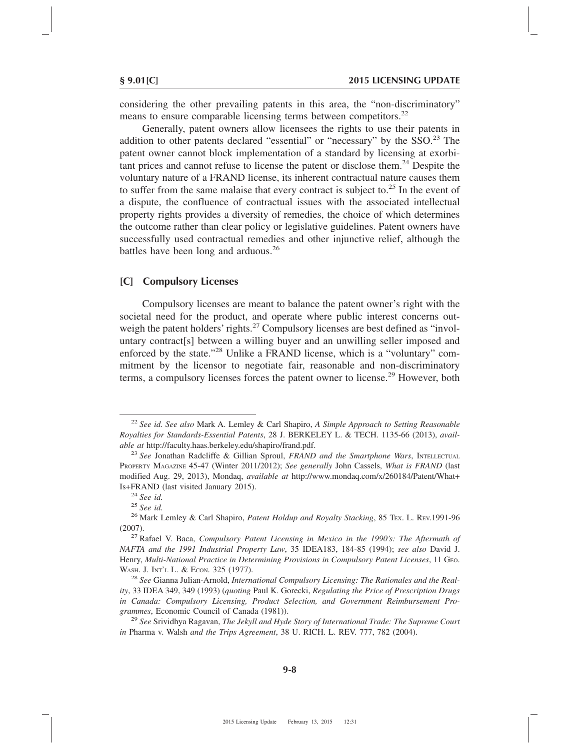considering the other prevailing patents in this area, the "non-discriminatory" means to ensure comparable licensing terms between competitors.<sup>22</sup>

Generally, patent owners allow licensees the rights to use their patents in addition to other patents declared "essential" or "necessary" by the  $SSO.<sup>23</sup>$  The patent owner cannot block implementation of a standard by licensing at exorbitant prices and cannot refuse to license the patent or disclose them.<sup>24</sup> Despite the voluntary nature of a FRAND license, its inherent contractual nature causes them to suffer from the same malaise that every contract is subject to.<sup>25</sup> In the event of a dispute, the confluence of contractual issues with the associated intellectual property rights provides a diversity of remedies, the choice of which determines the outcome rather than clear policy or legislative guidelines. Patent owners have successfully used contractual remedies and other injunctive relief, although the battles have been long and arduous.<sup>26</sup>

### **[C] Compulsory Licenses**

Compulsory licenses are meant to balance the patent owner's right with the societal need for the product, and operate where public interest concerns outweigh the patent holders' rights.<sup>27</sup> Compulsory licenses are best defined as "involuntary contract[s] between a willing buyer and an unwilling seller imposed and enforced by the state."<sup>28</sup> Unlike a FRAND license, which is a "voluntary" commitment by the licensor to negotiate fair, reasonable and non-discriminatory terms, a compulsory licenses forces the patent owner to license.<sup>29</sup> However, both

<sup>22</sup> *See id. See also* Mark A. Lemley & Carl Shapiro, *A Simple Approach to Setting Reasonable Royalties for Standards-Essential Patents*, 28 J. BERKELEY L. & TECH. 1135-66 (2013), *available at* http://faculty.haas.berkeley.edu/shapiro/frand.pdf. <sup>23</sup> *See* Jonathan Radcliffe & Gillian Sproul, *FRAND and the Smartphone Wars*, INTELLECTUAL

PROPERTY MAGAZINE 45-47 (Winter 2011/2012); *See generally* John Cassels, *What is FRAND* (last modified Aug. 29, 2013), Mondaq, *available at* http://www.mondaq.com/x/260184/Patent/What+

Is+FRAND (last visited January 2015). <sup>24</sup> *See id.* <sup>25</sup> *See id.* <sup>26</sup> Mark Lemley & Carl Shapiro, *Patent Holdup and Royalty Stacking*, 85 TEX. L. REV.1991-96

<sup>(2007).</sup> <sup>27</sup> Rafael V. Baca, *Compulsory Patent Licensing in Mexico in the 1990's: The Aftermath of NAFTA and the 1991 Industrial Property Law*, 35 IDEA183, 184-85 (1994); *see also* David J. Henry, *Multi-National Practice in Determining Provisions in Compulsory Patent Licenses*, 11 GEO.

WASH. J. INT'L L. & ECON. 325 (1977).<br><sup>28</sup> *See* Gianna Julian-Arnold, *International Compulsory Licensing: The Rationales and the Reality*, 33 IDEA 349, 349 (1993) (*quoting* Paul K. Gorecki, *Regulating the Price of Prescription Drugs in Canada: Compulsory Licensing, Product Selection, and Government Reimbursement Programmes*, Economic Council of Canada (1981)). <sup>29</sup> *See* Srividhya Ragavan, *The Jekyll and Hyde Story of International Trade: The Supreme Court*

*in* Pharma v. Walsh *and the Trips Agreement*, 38 U. RICH. L. REV. 777, 782 (2004).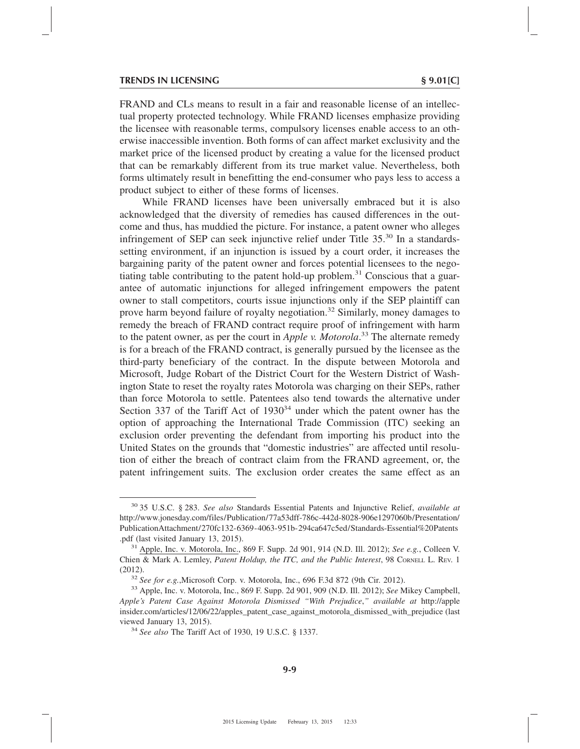#### **TRENDS IN LICENSING § 9.01[C]**

FRAND and CLs means to result in a fair and reasonable license of an intellectual property protected technology. While FRAND licenses emphasize providing the licensee with reasonable terms, compulsory licenses enable access to an otherwise inaccessible invention. Both forms of can affect market exclusivity and the market price of the licensed product by creating a value for the licensed product that can be remarkably different from its true market value. Nevertheless, both forms ultimately result in benefitting the end-consumer who pays less to access a product subject to either of these forms of licenses.

While FRAND licenses have been universally embraced but it is also acknowledged that the diversity of remedies has caused differences in the outcome and thus, has muddied the picture. For instance, a patent owner who alleges infringement of SEP can seek injunctive relief under Title 35.<sup>30</sup> In a standardssetting environment, if an injunction is issued by a court order, it increases the bargaining parity of the patent owner and forces potential licensees to the negotiating table contributing to the patent hold-up problem. $31$  Conscious that a guarantee of automatic injunctions for alleged infringement empowers the patent owner to stall competitors, courts issue injunctions only if the SEP plaintiff can prove harm beyond failure of royalty negotiation.<sup>32</sup> Similarly, money damages to remedy the breach of FRAND contract require proof of infringement with harm to the patent owner, as per the court in *Apple v. Motorola*. <sup>33</sup> The alternate remedy is for a breach of the FRAND contract, is generally pursued by the licensee as the third-party beneficiary of the contract. In the dispute between Motorola and Microsoft, Judge Robart of the District Court for the Western District of Washington State to reset the royalty rates Motorola was charging on their SEPs, rather than force Motorola to settle. Patentees also tend towards the alternative under Section 337 of the Tariff Act of  $1930<sup>34</sup>$  under which the patent owner has the option of approaching the International Trade Commission (ITC) seeking an exclusion order preventing the defendant from importing his product into the United States on the grounds that "domestic industries" are affected until resolution of either the breach of contract claim from the FRAND agreement, or, the patent infringement suits. The exclusion order creates the same effect as an

<sup>30</sup> 35 U.S.C. § 283. *See also* Standards Essential Patents and Injunctive Relief, *available at* http://www.jonesday.com/files/Publication/77a53dff-786c-442d-8028-906e1297060b/Presentation/ PublicationAttachment/270fc132-6369-4063-951b-294ca647c5ed/Standards-Essential%20Patents .pdf (last visited January 13, 2015). <sup>31</sup> Apple, Inc. v. Motorola, Inc., 869 F. Supp. 2d 901, 914 (N.D. Ill. 2012); *See e.g.*, Colleen V.

Chien & Mark A. Lemley, *Patent Holdup, the ITC, and the Public Interest*, 98 CORNELL L. REV. 1 (2012). <sup>32</sup> *See for e.g.*,Microsoft Corp. v. Motorola, Inc., 696 F.3d 872 (9th Cir. 2012). <sup>33</sup> Apple, Inc. v. Motorola, Inc., 869 F. Supp. 2d 901, 909 (N.D. Ill. 2012); *See* Mikey Campbell,

*Apple's Patent Case Against Motorola Dismissed "With Prejudice*,*" available at* http://apple insider.com/articles/12/06/22/apples\_patent\_case\_against\_motorola\_dismissed\_with\_prejudice (last viewed January 13, 2015). <sup>34</sup> *See also* The Tariff Act of 1930, 19 U.S.C. § 1337.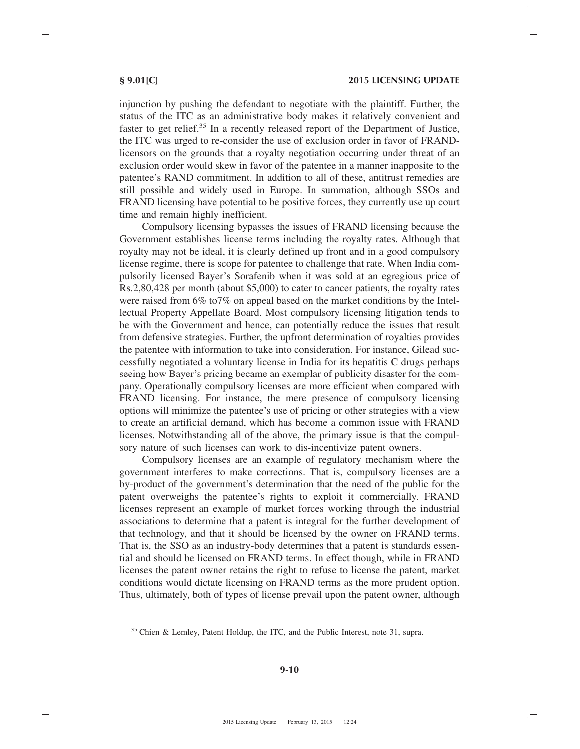injunction by pushing the defendant to negotiate with the plaintiff. Further, the status of the ITC as an administrative body makes it relatively convenient and faster to get relief.<sup>35</sup> In a recently released report of the Department of Justice, the ITC was urged to re-consider the use of exclusion order in favor of FRANDlicensors on the grounds that a royalty negotiation occurring under threat of an exclusion order would skew in favor of the patentee in a manner inapposite to the patentee's RAND commitment. In addition to all of these, antitrust remedies are still possible and widely used in Europe. In summation, although SSOs and FRAND licensing have potential to be positive forces, they currently use up court time and remain highly inefficient.

Compulsory licensing bypasses the issues of FRAND licensing because the Government establishes license terms including the royalty rates. Although that royalty may not be ideal, it is clearly defined up front and in a good compulsory license regime, there is scope for patentee to challenge that rate. When India compulsorily licensed Bayer's Sorafenib when it was sold at an egregious price of Rs.2,80,428 per month (about \$5,000) to cater to cancer patients, the royalty rates were raised from 6% to7% on appeal based on the market conditions by the Intellectual Property Appellate Board. Most compulsory licensing litigation tends to be with the Government and hence, can potentially reduce the issues that result from defensive strategies. Further, the upfront determination of royalties provides the patentee with information to take into consideration. For instance, Gilead successfully negotiated a voluntary license in India for its hepatitis C drugs perhaps seeing how Bayer's pricing became an exemplar of publicity disaster for the company. Operationally compulsory licenses are more efficient when compared with FRAND licensing. For instance, the mere presence of compulsory licensing options will minimize the patentee's use of pricing or other strategies with a view to create an artificial demand, which has become a common issue with FRAND licenses. Notwithstanding all of the above, the primary issue is that the compulsory nature of such licenses can work to dis-incentivize patent owners.

Compulsory licenses are an example of regulatory mechanism where the government interferes to make corrections. That is, compulsory licenses are a by-product of the government's determination that the need of the public for the patent overweighs the patentee's rights to exploit it commercially. FRAND licenses represent an example of market forces working through the industrial associations to determine that a patent is integral for the further development of that technology, and that it should be licensed by the owner on FRAND terms. That is, the SSO as an industry-body determines that a patent is standards essential and should be licensed on FRAND terms. In effect though, while in FRAND licenses the patent owner retains the right to refuse to license the patent, market conditions would dictate licensing on FRAND terms as the more prudent option. Thus, ultimately, both of types of license prevail upon the patent owner, although

<sup>&</sup>lt;sup>35</sup> Chien & Lemley, Patent Holdup, the ITC, and the Public Interest, note 31, supra.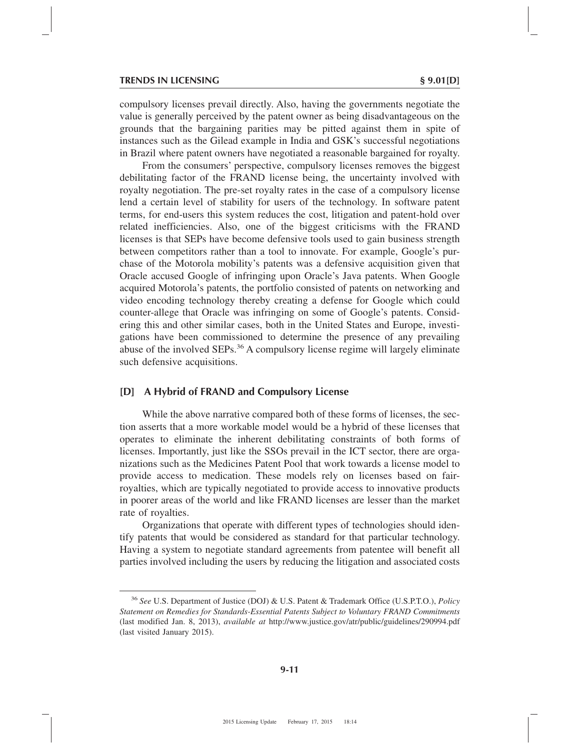compulsory licenses prevail directly. Also, having the governments negotiate the value is generally perceived by the patent owner as being disadvantageous on the grounds that the bargaining parities may be pitted against them in spite of instances such as the Gilead example in India and GSK's successful negotiations in Brazil where patent owners have negotiated a reasonable bargained for royalty.

From the consumers' perspective, compulsory licenses removes the biggest debilitating factor of the FRAND license being, the uncertainty involved with royalty negotiation. The pre-set royalty rates in the case of a compulsory license lend a certain level of stability for users of the technology. In software patent terms, for end-users this system reduces the cost, litigation and patent-hold over related inefficiencies. Also, one of the biggest criticisms with the FRAND licenses is that SEPs have become defensive tools used to gain business strength between competitors rather than a tool to innovate. For example, Google's purchase of the Motorola mobility's patents was a defensive acquisition given that Oracle accused Google of infringing upon Oracle's Java patents. When Google acquired Motorola's patents, the portfolio consisted of patents on networking and video encoding technology thereby creating a defense for Google which could counter-allege that Oracle was infringing on some of Google's patents. Considering this and other similar cases, both in the United States and Europe, investigations have been commissioned to determine the presence of any prevailing abuse of the involved SEPs.<sup>36</sup> A compulsory license regime will largely eliminate such defensive acquisitions.

# **[D] A Hybrid of FRAND and Compulsory License**

While the above narrative compared both of these forms of licenses, the section asserts that a more workable model would be a hybrid of these licenses that operates to eliminate the inherent debilitating constraints of both forms of licenses. Importantly, just like the SSOs prevail in the ICT sector, there are organizations such as the Medicines Patent Pool that work towards a license model to provide access to medication. These models rely on licenses based on fairroyalties, which are typically negotiated to provide access to innovative products in poorer areas of the world and like FRAND licenses are lesser than the market rate of royalties.

Organizations that operate with different types of technologies should identify patents that would be considered as standard for that particular technology. Having a system to negotiate standard agreements from patentee will benefit all parties involved including the users by reducing the litigation and associated costs

<sup>36</sup> *See* U.S. Department of Justice (DOJ) & U.S. Patent & Trademark Office (U.S.P.T.O.), *Policy Statement on Remedies for Standards-Essential Patents Subject to Voluntary FRAND Commitments* (last modified Jan. 8, 2013), *available at* http://www.justice.gov/atr/public/guidelines/290994.pdf (last visited January 2015).